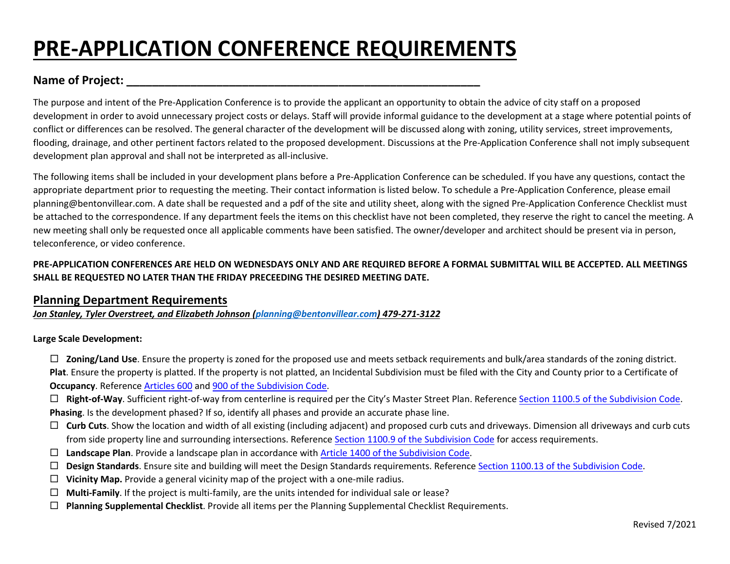# **PRE-APPLICATION CONFERENCE REQUIREMENTS**

# **Name of Project: \_\_\_\_\_\_\_\_\_\_\_\_\_\_\_\_\_\_\_\_\_\_\_\_\_\_\_\_\_\_\_\_\_\_\_\_\_\_\_\_\_\_\_\_\_\_\_\_\_\_\_\_\_\_\_**

The purpose and intent of the Pre-Application Conference is to provide the applicant an opportunity to obtain the advice of city staff on a proposed development in order to avoid unnecessary project costs or delays. Staff will provide informal guidance to the development at a stage where potential points of conflict or differences can be resolved. The general character of the development will be discussed along with zoning, utility services, street improvements, flooding, drainage, and other pertinent factors related to the proposed development. Discussions at the Pre-Application Conference shall not imply subsequent development plan approval and shall not be interpreted as all-inclusive.

The following items shall be included in your development plans before a Pre-Application Conference can be scheduled. If you have any questions, contact the appropriate department prior to requesting the meeting. Their contact information is listed below. To schedule a Pre-Application Conference, please email planning@bentonvillear.com. A date shall be requested and a pdf of the site and utility sheet, along with the signed Pre-Application Conference Checklist must be attached to the correspondence. If any department feels the items on this checklist have not been completed, they reserve the right to cancel the meeting. A new meeting shall only be requested once all applicable comments have been satisfied. The owner/developer and architect should be present via in person, teleconference, or video conference.

# **PRE-APPLICATION CONFERENCES ARE HELD ON WEDNESDAYS ONLY AND ARE REQUIRED BEFORE A FORMAL SUBMITTAL WILL BE ACCEPTED. ALL MEETINGS SHALL BE REQUESTED NO LATER THAN THE FRIDAY PRECEEDING THE DESIRED MEETING DATE.**

## **Planning Department Requirements**

*Jon Stanley, Tyler Overstreet, and Elizabeth Johnson [\(planning@](mailto:planning@bentonvillear.com)bentonvillear.com) 479-271-3122*

### **Large Scale Development:**

 **Zoning/Land Use**. Ensure the property is zoned for the proposed use and meets setback requirements and bulk/area standards of the zoning district. **Plat**. Ensure the property is platted. If the property is not platted, an Incidental Subdivision must be filed with the City and County prior to a Certificate of **Occupancy**. Reference [Articles](http://www.bentonvillear.com/DocumentCenter/View/153/Development-Code?bidId=) 600 and [900 of the Subdivision Code.](http://www.bentonvillear.com/DocumentCenter/View/153/Development-Code?bidId=)

 **Right-of-Way**. Sufficient right-of-way from centerline is required per the City's Master Street Plan. Reference Section 1100.5 [of the Subdivision Code.](http://www.bentonvillear.com/DocumentCenter/View/153/Development-Code?bidId=) **Phasing**. Is the development phased? If so, identify all phases and provide an accurate phase line.

- □ Curb Cuts. Show the location and width of all existing (including adjacent) and proposed curb cuts and driveways. Dimension all driveways and curb cuts from side property line and surrounding intersections. Reference [Section 1100.9 of the Subdivision Code](http://www.bentonvillear.com/DocumentCenter/View/153/Development-Code?bidId=) for access requirements.
- **Landscape Plan**. Provide a landscape plan in accordance with Article 1400 of the [Subdivision Code.](http://www.bentonvillear.com/DocumentCenter/View/153/Development-Code?bidId=)
- **Design Standards**. Ensure site and building will meet the Design Standards requirements. Reference Section 1100.13 of [the Subdivision](http://www.bentonvillear.com/DocumentCenter/View/153/Development-Code?bidId=) Code.
- **Vicinity Map.** Provide a general vicinity map of the project with a one-mile radius.
- $\Box$  **Multi-Family**. If the project is multi-family, are the units intended for individual sale or lease?
- **Planning Supplemental Checklist**. Provide all items per the Planning Supplemental Checklist Requirements.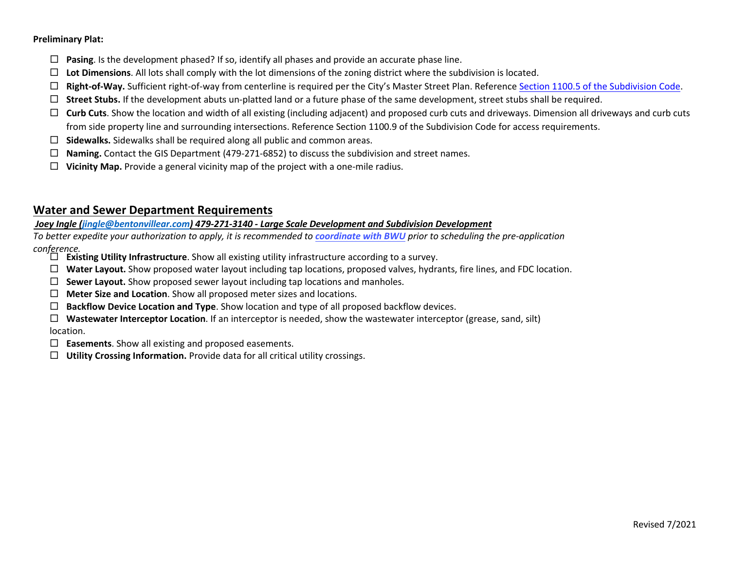#### **Preliminary Plat:**

- **Pasing**. Is the development phased? If so, identify all phases and provide an accurate phase line.
- **Lot Dimensions**. All lots shall comply with the lot dimensions of the zoning district where the subdivision is located.
- **Right-of-Way.** Sufficient right-of-way from centerline is required per the City's Master Street Plan. Reference Section 1100.5 [of the Subdivision Code](http://www.bentonvillear.com/DocumentCenter/View/153/Development-Code?bidId=).
- $\Box$  Street Stubs. If the development abuts un-platted land or a future phase of the same development, street stubs shall be required.
- □ Curb Cuts. Show the location and width of all existing (including adjacent) and proposed curb cuts and driveways. Dimension all driveways and curb cuts from side property line and surrounding intersections. Reference Section 1100.9 of the Subdivision Code for access requirements.
- **Sidewalks.** Sidewalks shall be required along all public and common areas.
- **Naming.** Contact the GIS Department (479-271-6852) to discuss the subdivision and street names.
- $\Box$  **Vicinity Map.** Provide a general vicinity map of the project with a one-mile radius.

# **Water and Sewer Department Requirements**

## *Joey Ingle [\(jingle@bentonvillear.com\)](mailto:jingle@bentonvillear.com) 479-271-3140 - Large Scale Development and Subdivision Development*

*To better expedite your authorization to apply, it is recommended to [coordinate](http://www.bentonvillear.com/208/2021-Water-Sewer-Specifications) with BWU prior to scheduling the pre-application conference.* 

- **Existing Utility Infrastructure**. Show all existing utility infrastructure according to a survey.
- **Water Layout.** Show proposed water layout including tap locations, proposed valves, hydrants, fire lines, and FDC location.
- $\Box$  **Sewer Layout.** Show proposed sewer layout including tap locations and manholes.
- **Meter Size and Location**. Show all proposed meter sizes and locations.
- **Backflow Device Location and Type**. Show location and type of all proposed backflow devices.
- **Wastewater Interceptor Location**. If an interceptor is needed, show the wastewater interceptor (grease, sand, silt) location.
- **Easements**. Show all existing and proposed easements.
- **Utility Crossing Information.** Provide data for all critical utility crossings.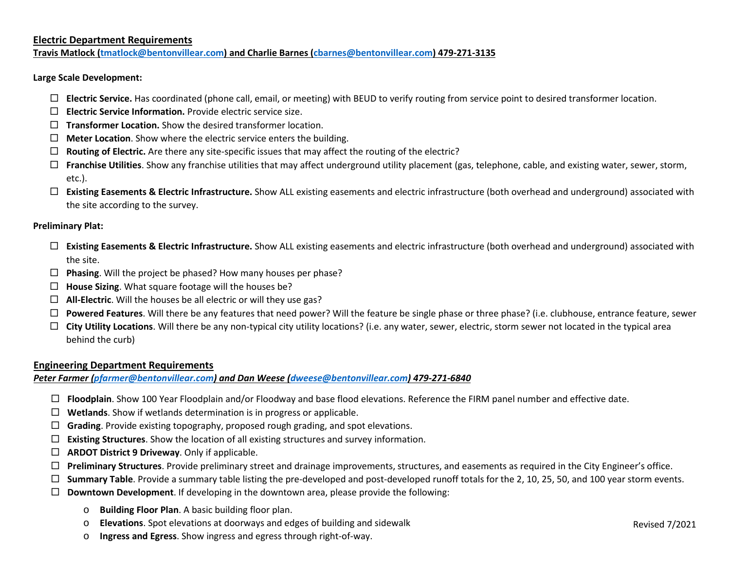#### **Electric Department Requirements**

**Travis Matlock [\(tmatlock@bentonvillear.com\)](mailto:tmatlock@bentonvillear.com) and Charlie Barnes [\(cbarnes@bentonvillear.com\)](mailto:cbarnes@bentonvillear.com) 479-271-3135**

**Large Scale Development:** 

- **Electric Service.** Has coordinated (phone call, email, or meeting) with BEUD to verify routing from service point to desired transformer location.
- **Electric Service Information.** Provide electric service size.
- **Transformer Location.** Show the desired transformer location.
- **Meter Location**. Show where the electric service enters the building.
- **Routing of Electric.** Are there any site-specific issues that may affect the routing of the electric?
- **Franchise Utilities**. Show any franchise utilities that may affect underground utility placement (gas, telephone, cable, and existing water, sewer, storm, etc.).
- **Existing Easements & Electric Infrastructure.** Show ALL existing easements and electric infrastructure (both overhead and underground) associated with the site according to the survey.

#### **Preliminary Plat:**

- **Existing Easements & Electric Infrastructure.** Show ALL existing easements and electric infrastructure (both overhead and underground) associated with the site.
- **Phasing**. Will the project be phased? How many houses per phase?
- **House Sizing**. What square footage will the houses be?
- **All-Electric**. Will the houses be all electric or will they use gas?
- **Powered Features**. Will there be any features that need power? Will the feature be single phase or three phase? (i.e. clubhouse, entrance feature, sewer
- □ City Utility Locations. Will there be any non-typical city utility locations? (i.e. any water, sewer, electric, storm sewer not located in the typical area behind the curb)

#### **Engineering Department Requirements**

*Peter Farmer (pfarmer@bentonvillear.com) and Dan Weese (dweese@bentonvillear.com) 479-271-6840*

- **Floodplain**. Show 100 Year Floodplain and/or Floodway and base flood elevations. Reference the FIRM panel number and effective date.
- **Wetlands**. Show if wetlands determination is in progress or applicable.
- **Grading**. Provide existing topography, proposed rough grading, and spot elevations.
- **Existing Structures**. Show the location of all existing structures and survey information.
- **ARDOT District 9 Driveway**. Only if applicable.
- □ **Preliminary Structures**. Provide preliminary street and drainage improvements, structures, and easements as required in the City Engineer's office.
- □ **Summary Table**. Provide a summary table listing the pre-developed and post-developed runoff totals for the 2, 10, 25, 50, and 100 year storm events.
- **Downtown Development**. If developing in the downtown area, please provide the following:
	- o **Building Floor Plan**. A basic building floor plan.
	- o **Elevations**. Spot elevations at doorways and edges of building and sidewalk
	- o **Ingress and Egress**. Show ingress and egress through right-of-way.